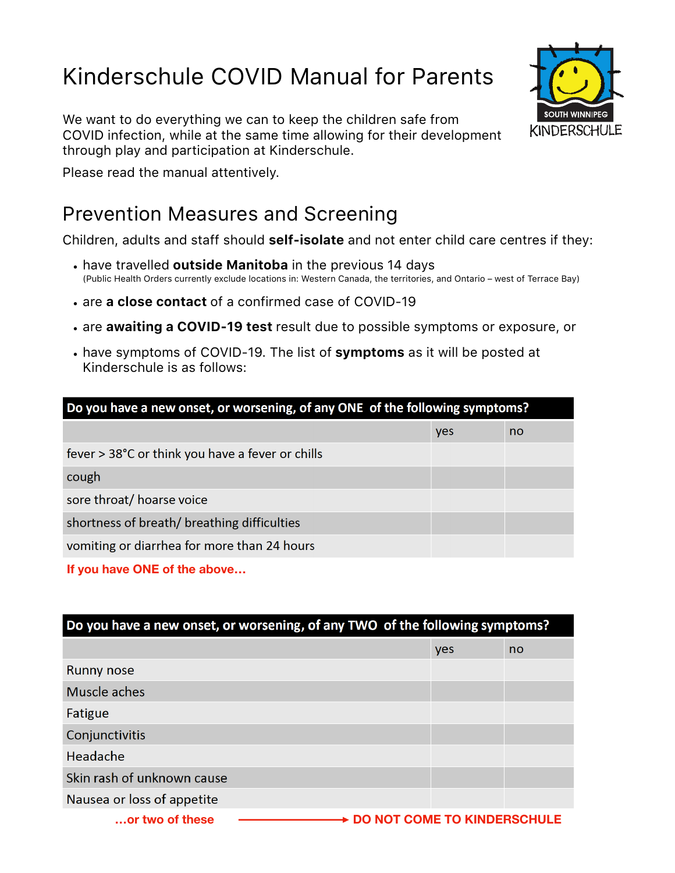# Kinderschule COVID Manual for Parents

We want to do everything we can to keep the children safe from COVID infection, while at the same time allowing for their development through play and participation at Kinderschule.



Please read the manual attentively.

### Prevention Measures and Screening

Children, adults and staff should **self-isolate** and not enter child care centres if they:

- have travelled **outside Manitoba** in the previous 14 days (Public Health Orders currently exclude locations in: Western Canada, the territories, and Ontario – west of Terrace Bay)
- are **a close contact** of a confirmed case of COVID-19
- are **awaiting a COVID-19 test** result due to possible symptoms or exposure, or
- have symptoms of COVID-19. The list of **symptoms** as it will be posted at Kinderschule is as follows:

| Do you have a new onset, or worsening, of any ONE of the following symptoms? |     |    |  |
|------------------------------------------------------------------------------|-----|----|--|
|                                                                              | yes | no |  |
| fever > 38°C or think you have a fever or chills                             |     |    |  |
| cough                                                                        |     |    |  |
| sore throat/ hoarse voice                                                    |     |    |  |
| shortness of breath/ breathing difficulties                                  |     |    |  |
| vomiting or diarrhea for more than 24 hours                                  |     |    |  |

**If you have ONE of the above…**

| Do you have a new onset, or worsening, of any TWO of the following symptoms? |                                    |    |  |
|------------------------------------------------------------------------------|------------------------------------|----|--|
|                                                                              | yes                                | no |  |
| <b>Runny nose</b>                                                            |                                    |    |  |
| Muscle aches                                                                 |                                    |    |  |
| Fatigue                                                                      |                                    |    |  |
| Conjunctivitis                                                               |                                    |    |  |
| Headache                                                                     |                                    |    |  |
| Skin rash of unknown cause                                                   |                                    |    |  |
| Nausea or loss of appetite                                                   |                                    |    |  |
| or two of these                                                              | <b>DO NOT COME TO KINDERSCHULE</b> |    |  |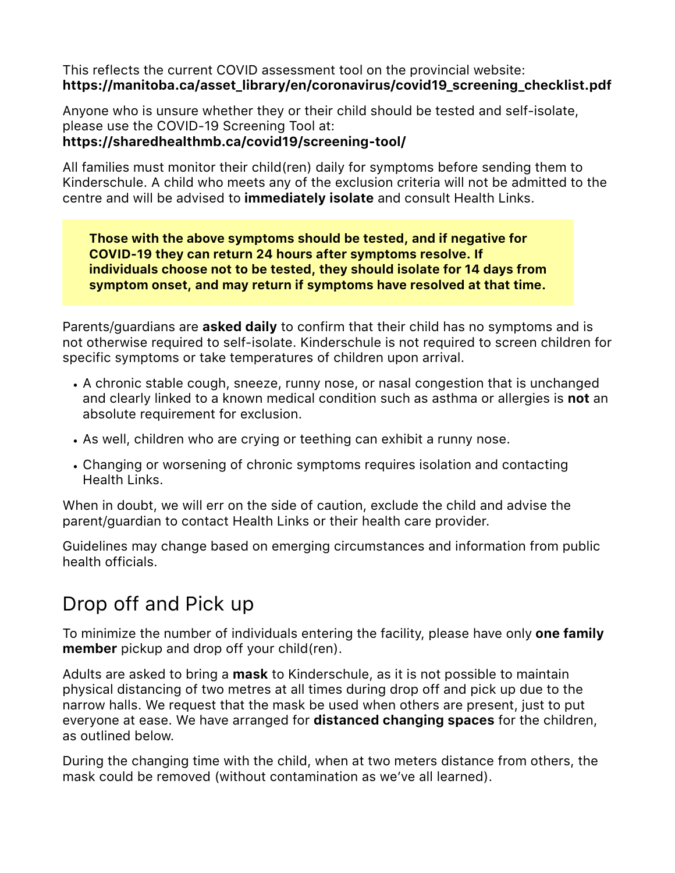This reflects the current COVID assessment tool on the provincial website: **[https://manitoba.ca/asset\\_library/en/coronavirus/covid19\\_screening\\_checklist.pdf](https://manitoba.ca/asset_library/en/coronavirus/covid19_screening_checklist.pdf)** 

Anyone who is unsure whether they or their child should be tested and self-isolate, please use the COVID-19 Screening Tool at:

#### **https://sharedhealthmb.ca/covid19/screening-tool/**

All families must monitor their child(ren) daily for symptoms before sending them to Kinderschule. A child who meets any of the exclusion criteria will not be admitted to the centre and will be advised to **immediately isolate** and consult Health Links.

**Those with the above symptoms should be tested, and if negative for COVID-19 they can return 24 hours after symptoms resolve. If individuals choose not to be tested, they should isolate for 14 days from symptom onset, and may return if symptoms have resolved at that time.**

Parents/guardians are **asked daily** to confirm that their child has no symptoms and is not otherwise required to self-isolate. Kinderschule is not required to screen children for specific symptoms or take temperatures of children upon arrival.

- A chronic stable cough, sneeze, runny nose, or nasal congestion that is unchanged and clearly linked to a known medical condition such as asthma or allergies is **not** an absolute requirement for exclusion.
- As well, children who are crying or teething can exhibit a runny nose.
- Changing or worsening of chronic symptoms requires isolation and contacting Health Links.

When in doubt, we will err on the side of caution, exclude the child and advise the parent/guardian to contact Health Links or their health care provider.

Guidelines may change based on emerging circumstances and information from public health officials.

# Drop off and Pick up

To minimize the number of individuals entering the facility, please have only **one family member** pickup and drop off your child(ren).

Adults are asked to bring a **mask** to Kinderschule, as it is not possible to maintain physical distancing of two metres at all times during drop off and pick up due to the narrow halls. We request that the mask be used when others are present, just to put everyone at ease. We have arranged for **distanced changing spaces** for the children, as outlined below.

During the changing time with the child, when at two meters distance from others, the mask could be removed (without contamination as we've all learned).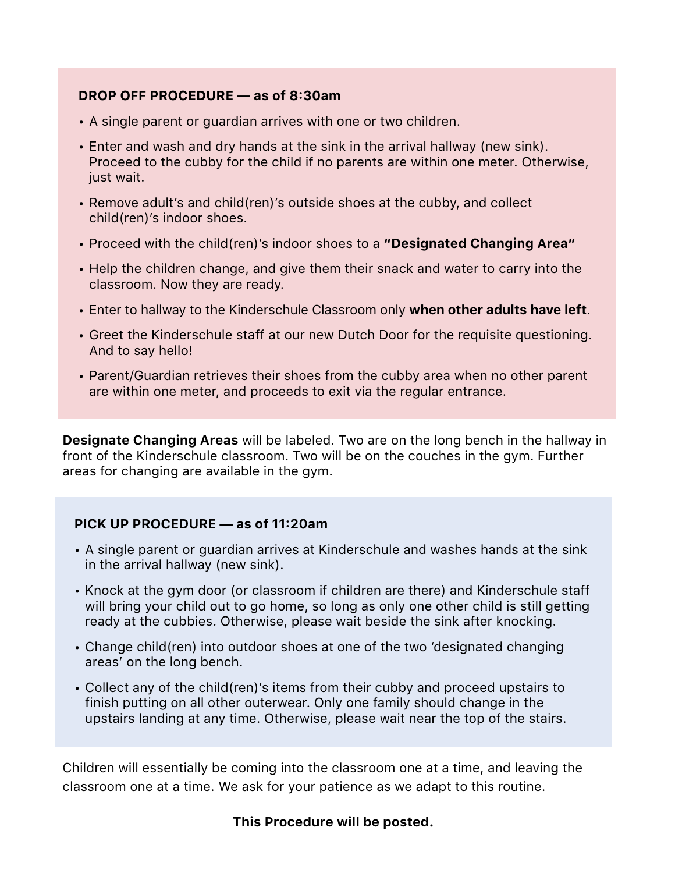#### **DROP OFF PROCEDURE — as of 8:30am**

- A single parent or guardian arrives with one or two children.
- Enter and wash and dry hands at the sink in the arrival hallway (new sink). Proceed to the cubby for the child if no parents are within one meter. Otherwise, just wait.
- Remove adult's and child(ren)'s outside shoes at the cubby, and collect child(ren)'s indoor shoes.
- Proceed with the child(ren)'s indoor shoes to a **"Designated Changing Area"**
- Help the children change, and give them their snack and water to carry into the classroom. Now they are ready.
- Enter to hallway to the Kinderschule Classroom only **when other adults have left**.
- Greet the Kinderschule staff at our new Dutch Door for the requisite questioning. And to say hello!
- Parent/Guardian retrieves their shoes from the cubby area when no other parent are within one meter, and proceeds to exit via the regular entrance.

**Designate Changing Areas** will be labeled. Two are on the long bench in the hallway in front of the Kinderschule classroom. Two will be on the couches in the gym. Further areas for changing are available in the gym.

#### **PICK UP PROCEDURE — as of 11:20am**

- A single parent or guardian arrives at Kinderschule and washes hands at the sink in the arrival hallway (new sink).
- Knock at the gym door (or classroom if children are there) and Kinderschule staff will bring your child out to go home, so long as only one other child is still getting ready at the cubbies. Otherwise, please wait beside the sink after knocking.
- Change child(ren) into outdoor shoes at one of the two 'designated changing areas' on the long bench.
- Collect any of the child(ren)'s items from their cubby and proceed upstairs to finish putting on all other outerwear. Only one family should change in the upstairs landing at any time. Otherwise, please wait near the top of the stairs.

Children will essentially be coming into the classroom one at a time, and leaving the classroom one at a time. We ask for your patience as we adapt to this routine.

#### **This Procedure will be posted.**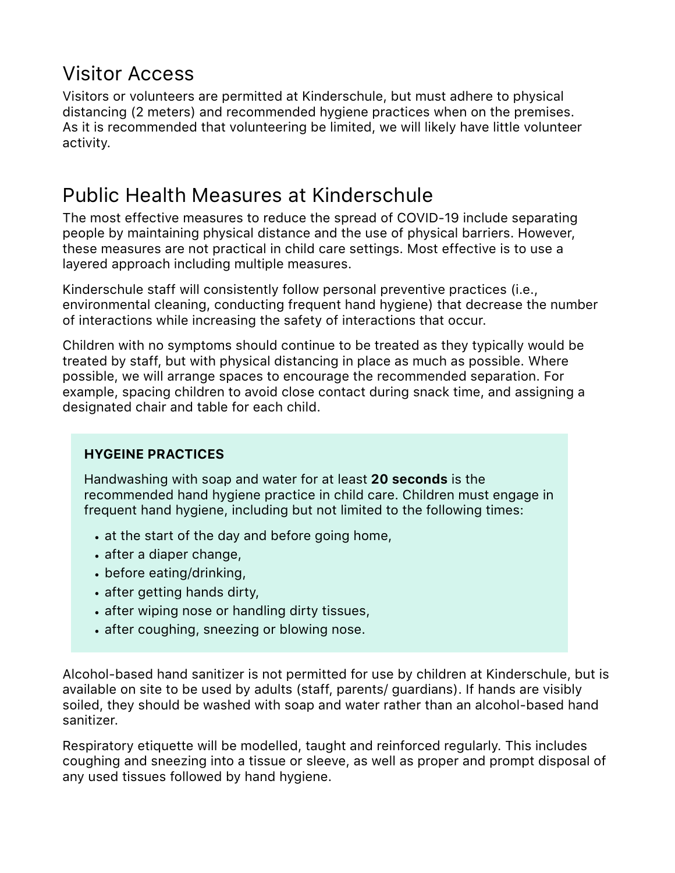### Visitor Access

Visitors or volunteers are permitted at Kinderschule, but must adhere to physical distancing (2 meters) and recommended hygiene practices when on the premises. As it is recommended that volunteering be limited, we will likely have little volunteer activity.

### Public Health Measures at Kinderschule

The most effective measures to reduce the spread of COVID-19 include separating people by maintaining physical distance and the use of physical barriers. However, these measures are not practical in child care settings. Most effective is to use a layered approach including multiple measures.

Kinderschule staff will consistently follow personal preventive practices (i.e., environmental cleaning, conducting frequent hand hygiene) that decrease the number of interactions while increasing the safety of interactions that occur.

Children with no symptoms should continue to be treated as they typically would be treated by staff, but with physical distancing in place as much as possible. Where possible, we will arrange spaces to encourage the recommended separation. For example, spacing children to avoid close contact during snack time, and assigning a designated chair and table for each child.

#### **HYGEINE PRACTICES**

Handwashing with soap and water for at least **20 seconds** is the recommended hand hygiene practice in child care. Children must engage in frequent hand hygiene, including but not limited to the following times:

- at the start of the day and before going home,
- after a diaper change,
- before eating/drinking,
- after getting hands dirty,
- after wiping nose or handling dirty tissues,
- after coughing, sneezing or blowing nose.

Alcohol-based hand sanitizer is not permitted for use by children at Kinderschule, but is available on site to be used by adults (staff, parents/ guardians). If hands are visibly soiled, they should be washed with soap and water rather than an alcohol-based hand sanitizer.

Respiratory etiquette will be modelled, taught and reinforced regularly. This includes coughing and sneezing into a tissue or sleeve, as well as proper and prompt disposal of any used tissues followed by hand hygiene.